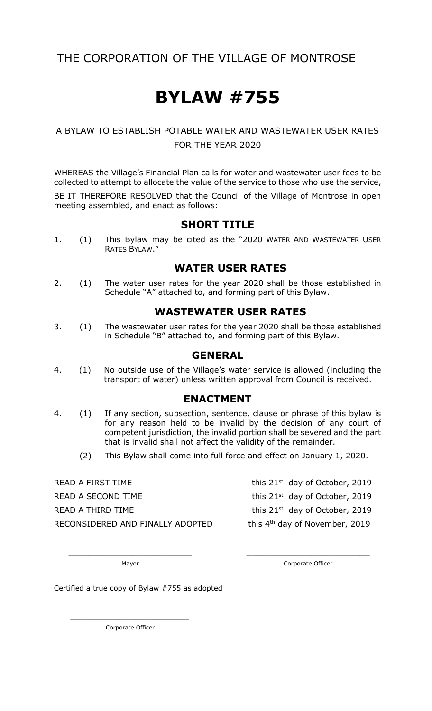# THE CORPORATION OF THE VILLAGE OF MONTROSE

# **BYLAW #755**

### A BYLAW TO ESTABLISH POTABLE WATER AND WASTEWATER USER RATES FOR THE YEAR 2020

WHEREAS the Village's Financial Plan calls for water and wastewater user fees to be collected to attempt to allocate the value of the service to those who use the service,

BE IT THEREFORE RESOLVED that the Council of the Village of Montrose in open meeting assembled, and enact as follows:

#### **SHORT TITLE**

1. (1) This Bylaw may be cited as the "2020 WATER AND WASTEWATER USER RATES BYLAW."

#### **WATER USER RATES**

2. (1) The water user rates for the year 2020 shall be those established in Schedule "A" attached to, and forming part of this Bylaw.

#### **WASTEWATER USER RATES**

3. (1) The wastewater user rates for the year 2020 shall be those established in Schedule "B" attached to, and forming part of this Bylaw.

#### **GENERAL**

4. (1) No outside use of the Village's water service is allowed (including the transport of water) unless written approval from Council is received.

### **ENACTMENT**

- 4. (1) If any section, subsection, sentence, clause or phrase of this bylaw is for any reason held to be invalid by the decision of any court of competent jurisdiction, the invalid portion shall be severed and the part that is invalid shall not affect the validity of the remainder.
	- (2) This Bylaw shall come into full force and effect on January 1, 2020.

\_\_\_\_\_\_\_\_\_\_\_\_\_\_\_\_\_\_\_\_\_\_\_\_\_ \_\_\_\_\_\_\_\_\_\_\_\_\_\_\_\_\_\_\_\_\_\_\_\_\_

READ A FIRST TIME  $t$  this 21st day of October, 2019 READ A SECOND TIME this 21<sup>st</sup> day of October, 2019 READ A THIRD TIME  $t$  and  $t$  this 21st day of October, 2019 RECONSIDERED AND FINALLY ADOPTED

this 4<sup>th</sup> day of November, 2019

Mayor **Mayor** Corporate Officer

Certified a true copy of Bylaw #755 as adopted

Corporate Officer

 $\overline{\phantom{a}}$  ,  $\overline{\phantom{a}}$  ,  $\overline{\phantom{a}}$  ,  $\overline{\phantom{a}}$  ,  $\overline{\phantom{a}}$  ,  $\overline{\phantom{a}}$  ,  $\overline{\phantom{a}}$  ,  $\overline{\phantom{a}}$  ,  $\overline{\phantom{a}}$  ,  $\overline{\phantom{a}}$  ,  $\overline{\phantom{a}}$  ,  $\overline{\phantom{a}}$  ,  $\overline{\phantom{a}}$  ,  $\overline{\phantom{a}}$  ,  $\overline{\phantom{a}}$  ,  $\overline{\phantom{a}}$